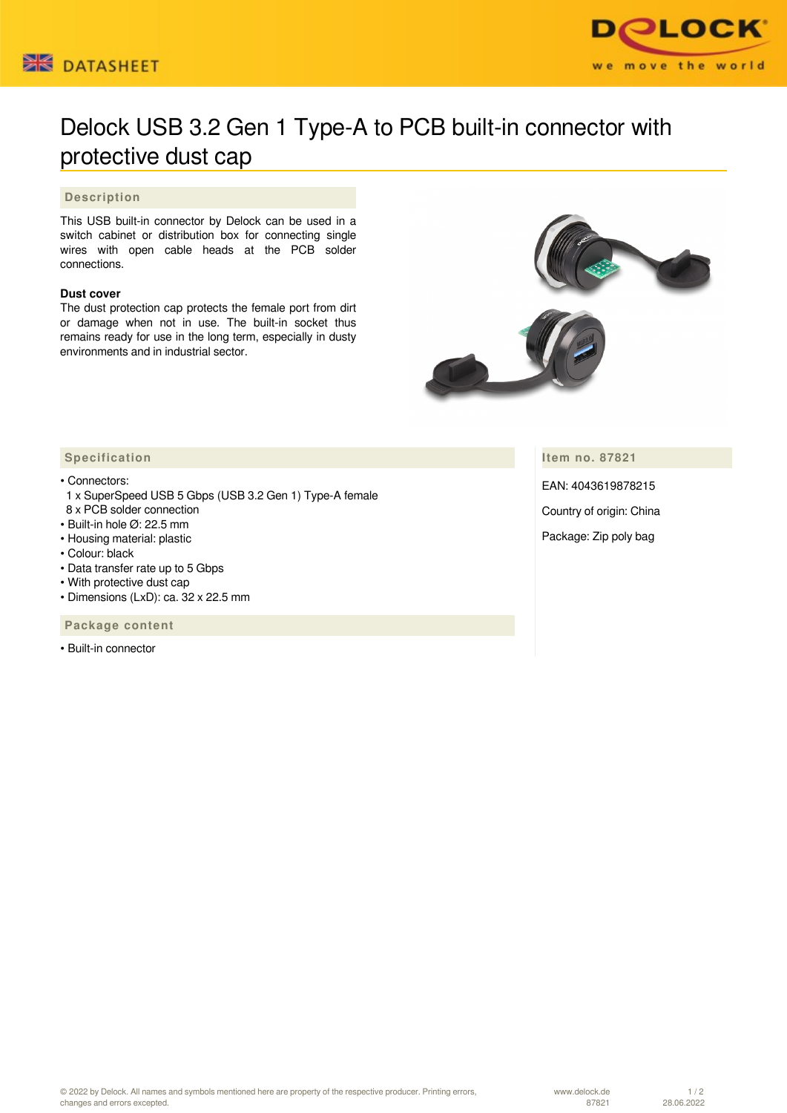



## Delock USB 3.2 Gen 1 Type-A to PCB built-in connector with protective dust cap

## **Description**

This USB built-in connector by Delock can be used in a switch cabinet or distribution box for connecting single wires with open cable heads at the PCB solder connections.

## **Dust cover**

The dust protection cap protects the female port from dirt or damage when not in use. The built-in socket thus remains ready for use in the long term, especially in dusty environments and in industrial sector.



**Item no. 87821**

EAN: 4043619878215

Country of origin: China

Package: Zip poly bag

## **Specification**

• Connectors:

- 1 x SuperSpeed USB 5 Gbps (USB 3.2 Gen 1) Type-A female 8 x PCB solder connection
- Built-in hole Ø: 22.5 mm
- Housing material: plastic
- Colour: black
- Data transfer rate up to 5 Gbps
- With protective dust cap
- Dimensions (LxD): ca. 32 x 22.5 mm

 **Package content**

• Built-in connector